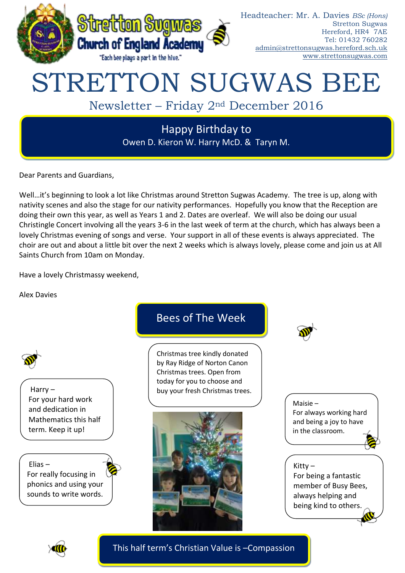

# Headteacher: Mr. A. Davies *BSc (Hons)* Stretton Sugwas Hereford, HR4 7AE Tel: 01432 760282 [admin@strettonsugwas.hereford.sch.uk](mailto:admin@strettonsugwas.hereford.sch.uk) www.strettonsugwas.com

# STRETTON SUGWAS BEE

# Newsletter – Friday 2nd December 2016

Happy Birthday to Owen D. Kieron W. Harry McD. & Taryn M.

Dear Parents and Guardians,

Well…it's beginning to look a lot like Christmas around Stretton Sugwas Academy. The tree is up, along with nativity scenes and also the stage for our nativity performances. Hopefully you know that the Reception are doing their own this year, as well as Years 1 and 2. Dates are overleaf. We will also be doing our usual Christingle Concert involving all the years 3-6 in the last week of term at the church, which has always been a lovely Christmas evening of songs and verse. Your support in all of these events is always appreciated. The choir are out and about a little bit over the next 2 weeks which is always lovely, please come and join us at All Saints Church from 10am on Monday.

Have a lovely Christmassy weekend,

Alex Davies





This half term's Christian Value is –Compassion